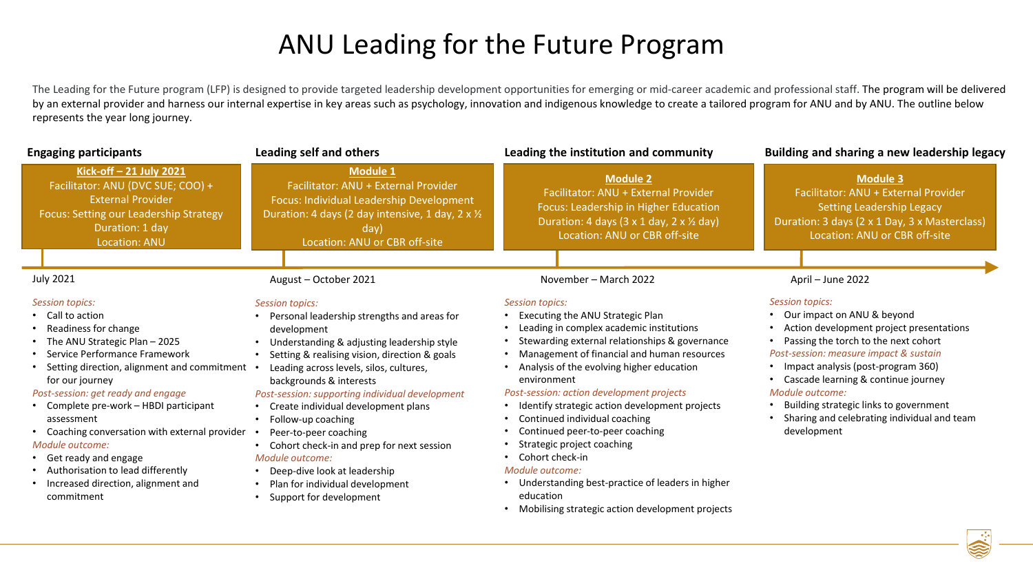## ANU Leading for the Future Program

The Leading for the Future program (LFP) is designed to provide targeted leadership development opportunities for emerging or mid-career academic and professional staff. The program will be delivered by an external provider and harness our internal expertise in key areas such as psychology, innovation and indigenous knowledge to create a tailored program for ANU and by ANU. The outline below represents the year long journey.

| <b>Engaging participants</b>                                                                                                                                                                                                                                                                                                                                                                                                                                                                 | Leading self and others                                                                                                                                                                                                                                                                                                                                                                                                                                                                                                                                                       | Leading the institution and community                                                                                                                                                                                                                                                                                                                                                                                                                                                                                                                                                                                             | Building and sharing a new leadership legacy                                                                                                                                                                                                                                                                                                                                                   |
|----------------------------------------------------------------------------------------------------------------------------------------------------------------------------------------------------------------------------------------------------------------------------------------------------------------------------------------------------------------------------------------------------------------------------------------------------------------------------------------------|-------------------------------------------------------------------------------------------------------------------------------------------------------------------------------------------------------------------------------------------------------------------------------------------------------------------------------------------------------------------------------------------------------------------------------------------------------------------------------------------------------------------------------------------------------------------------------|-----------------------------------------------------------------------------------------------------------------------------------------------------------------------------------------------------------------------------------------------------------------------------------------------------------------------------------------------------------------------------------------------------------------------------------------------------------------------------------------------------------------------------------------------------------------------------------------------------------------------------------|------------------------------------------------------------------------------------------------------------------------------------------------------------------------------------------------------------------------------------------------------------------------------------------------------------------------------------------------------------------------------------------------|
| Kick-off-21 July 2021<br>Facilitator: ANU (DVC SUE; COO) +<br><b>External Provider</b><br>Focus: Setting our Leadership Strategy<br>Duration: 1 day<br><b>Location: ANU</b>                                                                                                                                                                                                                                                                                                                  | <b>Module 1</b><br>Facilitator: ANU + External Provider<br>Focus: Individual Leadership Development<br>Duration: 4 days (2 day intensive, 1 day, 2 x 1/2<br>day)<br>Location: ANU or CBR off-site                                                                                                                                                                                                                                                                                                                                                                             | <b>Module 2</b><br>Facilitator: ANU + External Provider<br>Focus: Leadership in Higher Education<br>Duration: 4 days (3 x 1 day, 2 x 1/2 day)<br>Location: ANU or CBR off-site                                                                                                                                                                                                                                                                                                                                                                                                                                                    | <b>Module 3</b><br>Facilitator: ANU + External Provider<br><b>Setting Leadership Legacy</b><br>Duration: 3 days (2 x 1 Day, 3 x Masterclass)<br>Location: ANU or CBR off-site                                                                                                                                                                                                                  |
| <b>July 2021</b>                                                                                                                                                                                                                                                                                                                                                                                                                                                                             | August - October 2021                                                                                                                                                                                                                                                                                                                                                                                                                                                                                                                                                         | November - March 2022                                                                                                                                                                                                                                                                                                                                                                                                                                                                                                                                                                                                             | April - June 2022                                                                                                                                                                                                                                                                                                                                                                              |
| <b>Session topics:</b><br>Call to action<br>Readiness for change<br>The ANU Strategic Plan - 2025<br>Service Performance Framework<br>Setting direction, alignment and commitment .<br>for our journey<br>Post-session: get ready and engage<br>• Complete pre-work - HBDI participant<br>assessment<br>Coaching conversation with external provider<br>Module outcome:<br>• Get ready and engage<br>• Authorisation to lead differently<br>Increased direction, alignment and<br>commitment | <b>Session topics:</b><br>Personal leadership strengths and areas for<br>development<br>Understanding & adjusting leadership style<br>Setting & realising vision, direction & goals<br>Leading across levels, silos, cultures,<br>backgrounds & interests<br>Post-session: supporting individual development<br>Create individual development plans<br>Follow-up coaching<br>$\bullet$<br>Peer-to-peer coaching<br>Cohort check-in and prep for next session<br>Module outcome:<br>Deep-dive look at leadership<br>Plan for individual development<br>Support for development | <b>Session topics:</b><br>Executing the ANU Strategic Plan<br>Leading in complex academic institutions<br>Stewarding external relationships & governance<br>Management of financial and human resources<br>Analysis of the evolving higher education<br>environment<br>Post-session: action development projects<br>Identify strategic action development projects<br>Continued individual coaching<br>Continued peer-to-peer coaching<br>Strategic project coaching<br>• Cohort check-in<br>Module outcome:<br>Understanding best-practice of leaders in higher<br>education<br>Mobilising strategic action development projects | <b>Session topics:</b><br>• Our impact on ANU & beyond<br>Action development project presentations<br>Passing the torch to the next cohort<br>Post-session: measure impact & sustain<br>Impact analysis (post-program 360)<br>• Cascade learning & continue journey<br>Module outcome:<br>Building strategic links to government<br>Sharing and celebrating individual and team<br>development |
|                                                                                                                                                                                                                                                                                                                                                                                                                                                                                              |                                                                                                                                                                                                                                                                                                                                                                                                                                                                                                                                                                               |                                                                                                                                                                                                                                                                                                                                                                                                                                                                                                                                                                                                                                   | $\mathbb{R}$                                                                                                                                                                                                                                                                                                                                                                                   |

S